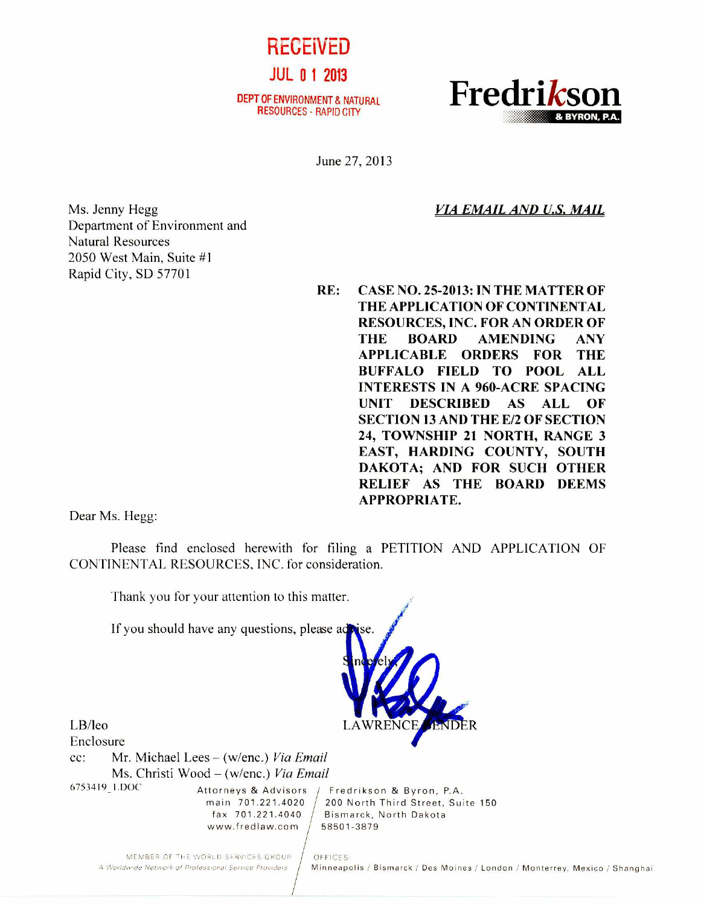

RESOURCES - RAPID CITY



June 27, 2013

*VIA EMAIL AND U.S. MAIL* 

Ms. Jenny Hegg Department of Environment and Natural Resources 2050 West Main, Suite #1 Rapid City, SD 57701

**RE: CASE NO. 25-2013: IN THE MATTER OF THE APPLICATION OF CONTINENTAL RESOURCES, INC. FOR AN ORDER OF THE BOARD AMENDING ANY APPLICABLE ORDERS FOR THE BUFFALO FIELD TO POOL ALL INTERESTS IN A 960-ACRE SPACING UNIT DESCRIBED AS ALL OF SECTION 13 AND THE E/2 OF SECTION 24, TOWNSHIP 21 NORTH, RANGE 3 EAST, HARDING COUNTY, SOUTH DAKOTA; AND FOR SUCH OTHER RELIEF AS THE BOARD DEEMS APPROPRIATE.** 

Dear Ms. Hegg:

Please find enclosed herewith for filing a PETITION AND APPLICATION OF CONTINENTAL RESOURCES, INC. for consideration.



MEMBER OF THE WORLD SERVICES GROUP | OFFICES:<br>A Worldwide Network of Professional Service Providers | Minneapo

Minneapolis / Bismarck / Des Moines / London / Monterrey, Mexico / Shanghai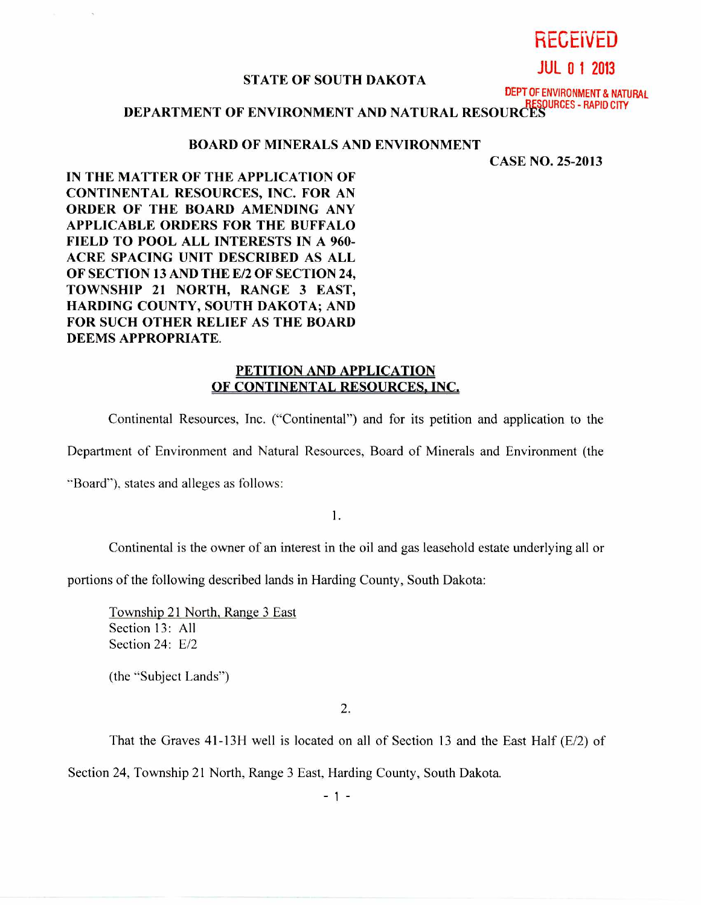# RECEiVED

**JUL 0 1 2013** 

#### STATE OF SOUTH DAKOTA

DEPT OF ENVIRONMENT & NATURAL

# DEPARTMENT OF ENVIRONMENT AND NATURAL RESOURCES - RAPID CITY

#### BOARD OF MINERALS AND ENVIRONMENT

CASE NO. 25-2013

IN THE MATTER OF THE APPLICATION OF CONTINENTAL RESOURCES, INC. FOR AN ORDER OF THE BOARD AMENDING ANY APPLICABLE ORDERS FOR THE BUFFALO FIELD TO POOL ALL INTERESTS IN A 960- ACRE SPACING UNIT DESCRIBED AS ALL OF SECTION 13 AND THE E/2 OF SECTION 24, TOWNSHIP 21 NORTH, RANGE 3 EAST, HARDING COUNTY, SOUTH DAKOTA; AND FOR SUCH OTHER RELIEF AS THE BOARD DEEMS APPROPRIATE.

## PETITION AND APPLICATION OF CONTINENTAL RESOURCES, INC.

Continental Resources, Inc. ("Continental") and for its petition and application to the

Department of Environment and Natural Resources, Board of Minerals and Environment (the

"Board"), states and alleges as follows:

1.

Continental is the owner of an interest in the oil and gas leasehold estate underlying all or

portions of the following described lands in Harding County, South Dakota:

Township 21 North, Range 3 East Section 13: All Section 24: E/2

(the "Subject Lands")

2.

That the Graves  $41-13H$  well is located on all of Section 13 and the East Half (E/2) of

Section 24, Township 21 North, Range 3 East, Harding County, South Dakota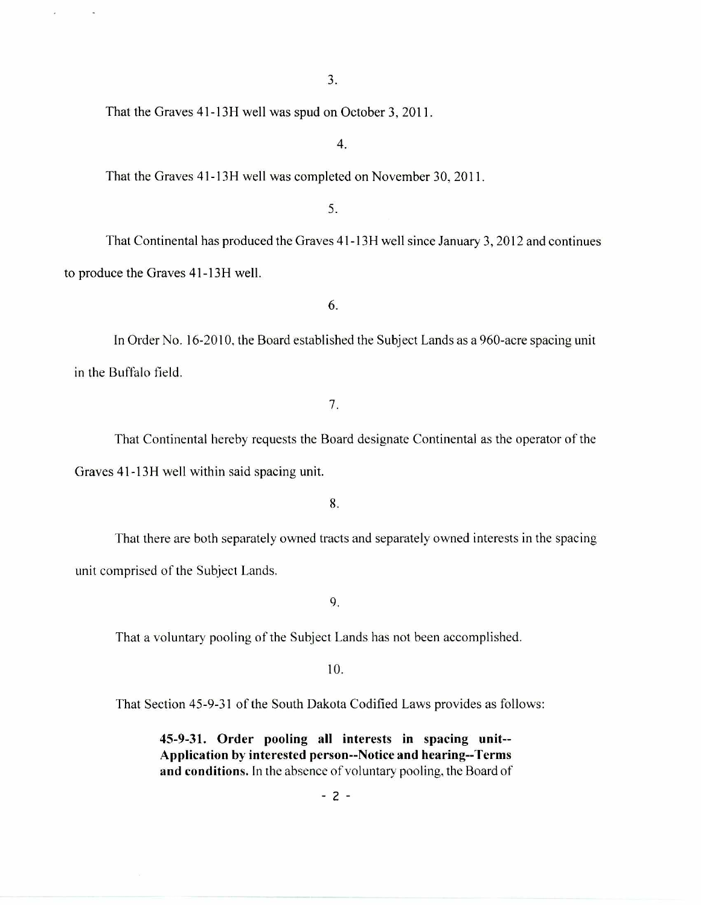That the Graves 41-13H well was spud on October 3, 2011.

# 4.

That the Graves 41-13H well was completed on November 30, 2011.

# 5.

That Continental has produced the Graves 41-13H well since January 3, 2012 and continues to produce the Graves 41-13H well.

6.

In Order No. 16-2010, the Board established the Subject Lands as a 960-acre spacing unit in the Buffalo field.

7.

That Continental hereby requests the Board designate Continental as the operator of the Graves 41-13H well within said spacing unit.

8.

That there are both separately owned tracts and separately owned interests in the spacing unit comprised of the Subject Lands.

9.

That a voluntary pooling of the Subject Lands has not been accomplished.

10.

That Section 45-9-31 of the South Dakota Codified Laws provides as follows:

**45-9-31. Order pooling all interests in spacing unit-- Application by interested person--Notice and hearing--Terms and conditions.** In the absence of voluntary pooling, the Board of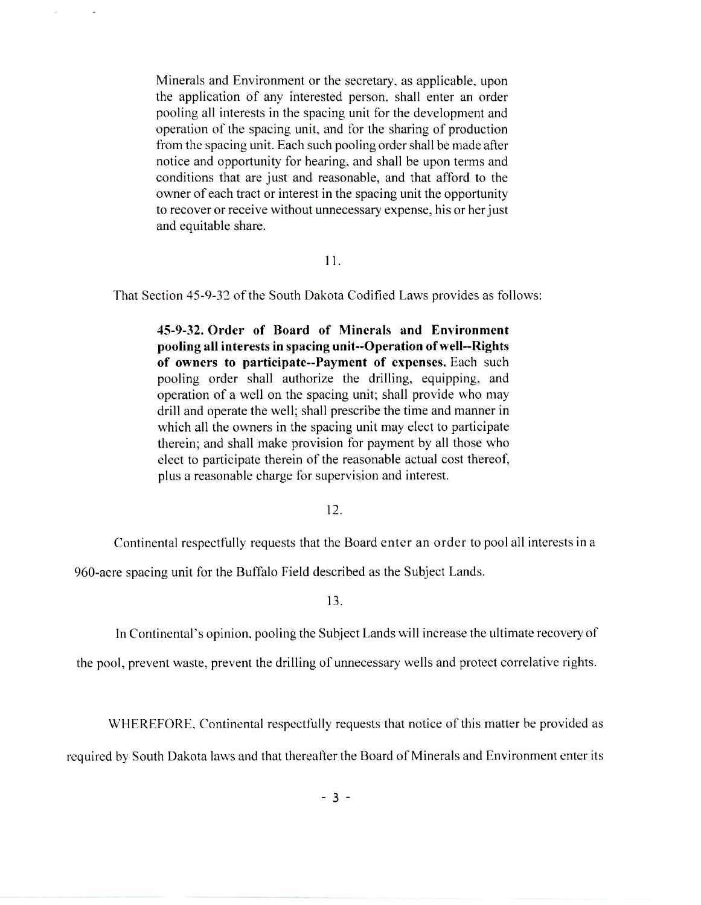Minerals and Environment or the secretary, as applicable, upon the application of any interested person, shall enter an order pooling all interests in the spacing unit for the development and operation of the spacing unit, and for the sharing of production from the spacing unit. Each such pooling order shall be made after notice and opportunity for hearing, and shall be upon terms and conditions that are just and reasonable, and that afford to the owner of each tract or interest in the spacing unit the opportunity to recover or receive without unnecessary expense, his or her just and equitable share.

### $11.$

That Section 45-9-32 of the South Dakota Codified Laws provides as follows:

**45-9-32. Order of Board of Minerals and Environment pooling all interests in spacing unit--Operation of well--Rights of owners to participate--Payment of expenses.** Each such pooling order shall authorize the drilling, equipping, and operation of a well on the spacing unit; shall provide who may drill and operate the well; shall prescribe the time and manner in which all the owners in the spacing unit may elect to participate therein; and shall make provision for payment by all those who elect to participate therein of the reasonable actual cost thereof, plus a reasonable charge for supervision and interest.

#### 12.

Continental respectfully requests that the Board enter an order to pool all interests in a

960-acre spacing unit for the Buffalo Field described as the Subject Lands.

13.

In Continental's opinion, pooling the Subject Lands will increase the ultimate recovery of

the pool, prevent waste, prevent the drilling of unnecessary wells and protect correlative rights.

WHEREFORE, Continental respectfully requests that notice of this matter be provided as

required by South Dakota laws and that thereafter the Board of Minerals and Environment enter its